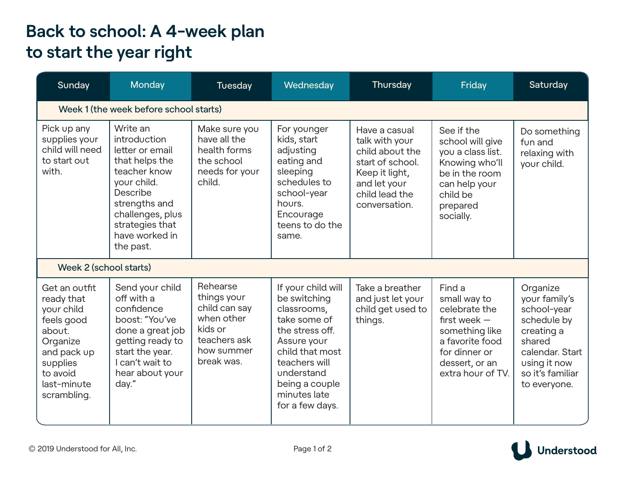## **Back to school: A 4-week plan to start the year right**

| Sunday                                                                                                                                             | Monday                                                                                                                                                                                          | Tuesday                                                                                                       | Wednesday                                                                                                                                                                                                  | Thursday                                                                                                                                    | Friday                                                                                                                                                 | Saturday                                                                                                                                               |  |  |  |
|----------------------------------------------------------------------------------------------------------------------------------------------------|-------------------------------------------------------------------------------------------------------------------------------------------------------------------------------------------------|---------------------------------------------------------------------------------------------------------------|------------------------------------------------------------------------------------------------------------------------------------------------------------------------------------------------------------|---------------------------------------------------------------------------------------------------------------------------------------------|--------------------------------------------------------------------------------------------------------------------------------------------------------|--------------------------------------------------------------------------------------------------------------------------------------------------------|--|--|--|
| Week 1 (the week before school starts)                                                                                                             |                                                                                                                                                                                                 |                                                                                                               |                                                                                                                                                                                                            |                                                                                                                                             |                                                                                                                                                        |                                                                                                                                                        |  |  |  |
| Pick up any<br>supplies your<br>child will need<br>to start out<br>with.                                                                           | Write an<br>introduction<br>letter or email<br>that helps the<br>teacher know<br>your child.<br>Describe<br>strengths and<br>challenges, plus<br>strategies that<br>have worked in<br>the past. | Make sure you<br>have all the<br>health forms<br>the school<br>needs for your<br>child.                       | For younger<br>kids, start<br>adjusting<br>eating and<br>sleeping<br>schedules to<br>school-year<br>hours.<br>Encourage<br>teens to do the<br>same.                                                        | Have a casual<br>talk with your<br>child about the<br>start of school.<br>Keep it light,<br>and let your<br>child lead the<br>conversation. | See if the<br>school will give<br>you a class list.<br>Knowing who'll<br>be in the room<br>can help your<br>child be<br>prepared<br>socially.          | Do something<br>fun and<br>relaxing with<br>your child.                                                                                                |  |  |  |
| Week 2 (school starts)                                                                                                                             |                                                                                                                                                                                                 |                                                                                                               |                                                                                                                                                                                                            |                                                                                                                                             |                                                                                                                                                        |                                                                                                                                                        |  |  |  |
| Get an outfit<br>ready that<br>your child<br>feels good<br>about.<br>Organize<br>and pack up<br>supplies<br>to avoid<br>last-minute<br>scrambling. | Send your child<br>off with a<br>confidence<br>boost: "You've<br>done a great job<br>getting ready to<br>start the year.<br>I can't wait to<br>hear about your<br>day."                         | Rehearse<br>things your<br>child can say<br>when other<br>kids or<br>teachers ask<br>how summer<br>break was. | If your child will<br>be switching<br>classrooms,<br>take some of<br>the stress off.<br>Assure your<br>child that most<br>teachers will<br>understand<br>being a couple<br>minutes late<br>for a few days. | Take a breather<br>and just let your<br>child get used to<br>things.                                                                        | Find a<br>small way to<br>celebrate the<br>first week $-$<br>something like<br>a favorite food<br>for dinner or<br>dessert, or an<br>extra hour of TV. | Organize<br>your family's<br>school-year<br>schedule by<br>creating a<br>shared<br>calendar, Start<br>using it now<br>so it's familiar<br>to everyone. |  |  |  |